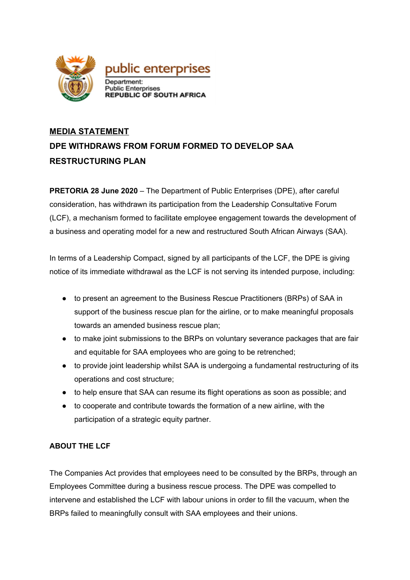

## **MEDIA STATEMENT DPE WITHDRAWS FROM FORUM FORMED TO DEVELOP SAA RESTRUCTURING PLAN**

**PRETORIA 28 June 2020** – The Department of Public Enterprises (DPE), after careful consideration, has withdrawn its participation from the Leadership Consultative Forum (LCF), a mechanism formed to facilitate employee engagement towards the development of a business and operating model for a new and restructured South African Airways (SAA).

In terms of a Leadership Compact, signed by all participants of the LCF, the DPE is giving notice of its immediate withdrawal as the LCF is not serving its intended purpose, including:

- to present an agreement to the Business Rescue Practitioners (BRPs) of SAA in support of the business rescue plan for the airline, or to make meaningful proposals towards an amended business rescue plan;
- to make joint submissions to the BRPs on voluntary severance packages that are fair and equitable for SAA employees who are going to be retrenched;
- to provide joint leadership whilst SAA is undergoing a fundamental restructuring of its operations and cost structure;
- to help ensure that SAA can resume its flight operations as soon as possible; and
- to cooperate and contribute towards the formation of a new airline, with the participation of a strategic equity partner.

## **ABOUT THE LCF**

The Companies Act provides that employees need to be consulted by the BRPs, through an Employees Committee during a business rescue process. The DPE was compelled to intervene and established the LCF with labour unions in order to fill the vacuum, when the BRPs failed to meaningfully consult with SAA employees and their unions.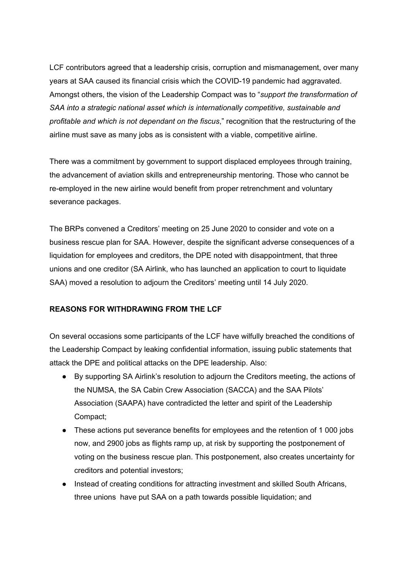LCF contributors agreed that a leadership crisis, corruption and mismanagement, over many years at SAA caused its financial crisis which the COVID-19 pandemic had aggravated. Amongst others, the vision of the Leadership Compact was to "*support the transformation of SAA into a strategic national asset which is internationally competitive, sustainable and profitable and which is not dependant on the fiscus*," recognition that the restructuring of the airline must save as many jobs as is consistent with a viable, competitive airline.

There was a commitment by government to support displaced employees through training, the advancement of aviation skills and entrepreneurship mentoring. Those who cannot be re-employed in the new airline would benefit from proper retrenchment and voluntary severance packages.

The BRPs convened a Creditors' meeting on 25 June 2020 to consider and vote on a business rescue plan for SAA. However, despite the significant adverse consequences of a liquidation for employees and creditors, the DPE noted with disappointment, that three unions and one creditor (SA Airlink, who has launched an application to court to liquidate SAA) moved a resolution to adjourn the Creditors' meeting until 14 July 2020.

## **REASONS FOR WITHDRAWING FROM THE LCF**

On several occasions some participants of the LCF have wilfully breached the conditions of the Leadership Compact by leaking confidential information, issuing public statements that attack the DPE and political attacks on the DPE leadership. Also:

- By supporting SA Airlink's resolution to adjourn the Creditors meeting, the actions of the NUMSA, the SA Cabin Crew Association (SACCA) and the SAA Pilots' Association (SAAPA) have contradicted the letter and spirit of the Leadership Compact;
- These actions put severance benefits for employees and the retention of 1 000 jobs now, and 2900 jobs as flights ramp up, at risk by supporting the postponement of voting on the business rescue plan. This postponement, also creates uncertainty for creditors and potential investors;
- Instead of creating conditions for attracting investment and skilled South Africans, three unions have put SAA on a path towards possible liquidation; and